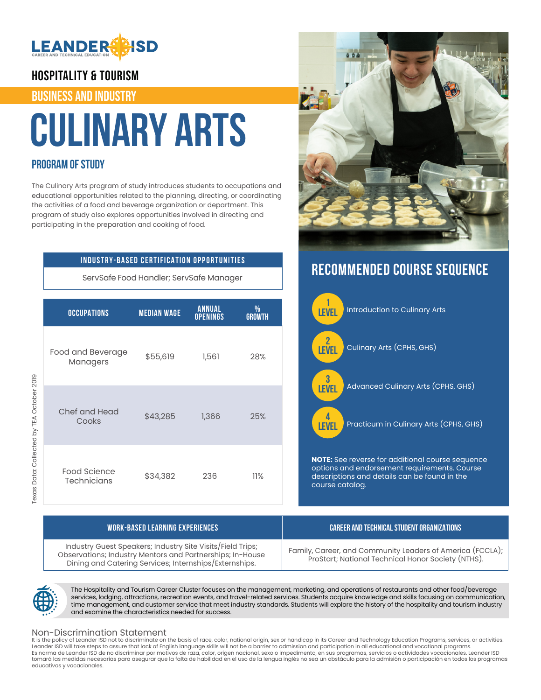

### HOSPITALITY & TOURISM

### BUSINESS AND INDUSTRY

# **Culinary Arts**

### **PROGRAM OF STUDY**

The Culinary Arts program of study introduces students to occupations and educational opportunities related to the planning, directing, or coordinating the activities of a food and beverage organization or department. This program of study also explores opportunities involved in directing and participating in the preparation and cooking of food.

### **INDUSTRY-BASED CERTIFICATION OPPORTUNITIES**

ServSafe Food Handler; ServSafe Manager

| <b>OCCUPATIONS</b>                 | <b>MEDIAN WAGE</b> | <b>ANNUAL</b><br><b>OPENINGS</b> | %<br><b>GROWTH</b> |
|------------------------------------|--------------------|----------------------------------|--------------------|
| Food and Beverage<br>Managers      | \$55,619           | 1,561                            | 28%                |
| Chef and Head<br>Cooks             | \$43,285           | 1,366                            | 25%                |
| Food Science<br><b>Technicians</b> | \$34,382           | 236                              | 11%                |



# **RECOMMENDED COURSE SEQUENCE**



| <b>WORK-BASED LEARNING EXPERIENCES</b>                                                                                                                                            | CAREER AND TECHNICAL STUDENT ORGANIZATIONS                                                                      |
|-----------------------------------------------------------------------------------------------------------------------------------------------------------------------------------|-----------------------------------------------------------------------------------------------------------------|
| Industry Guest Speakers; Industry Site Visits/Field Trips;<br>Observations; Industry Mentors and Partnerships; In-House<br>Dining and Catering Services; Internships/Externships. | Family, Career, and Community Leaders of America (FCCLA);<br>ProStart; National Technical Honor Society (NTHS). |



The Hospitality and Tourism Career Cluster focuses on the management, marketing, and operations of restaurants and other food/beverage services, lodging, attractions, recreation events, and travel-related services. Students acquire knowledge and skills focusing on communication, time management, and customer service that meet industry standards. Students will explore the history of the hospitality and tourism industry and examine the characteristics needed for success.

### Non-Discrimination Statement

It is the policy of Leander ISD not to discriminate on the basis of race, color, national origin, sex or handicap in its Career and Technology Education Programs, services, or activities.<br>Leander ISD will take steps to ass Es norma de Leander ISD de no discriminar por motivos de raza, color, origen nacional, sexo o impedimento, en sus programas, servicios o actividades vocacionales. Leander ISD tomará las medidas necesarias para asegurar que la falta de habilidad en el uso de la lengua inglés no sea un obstáculo para la admisión o participación en todos los programas educativos y vocacionales.